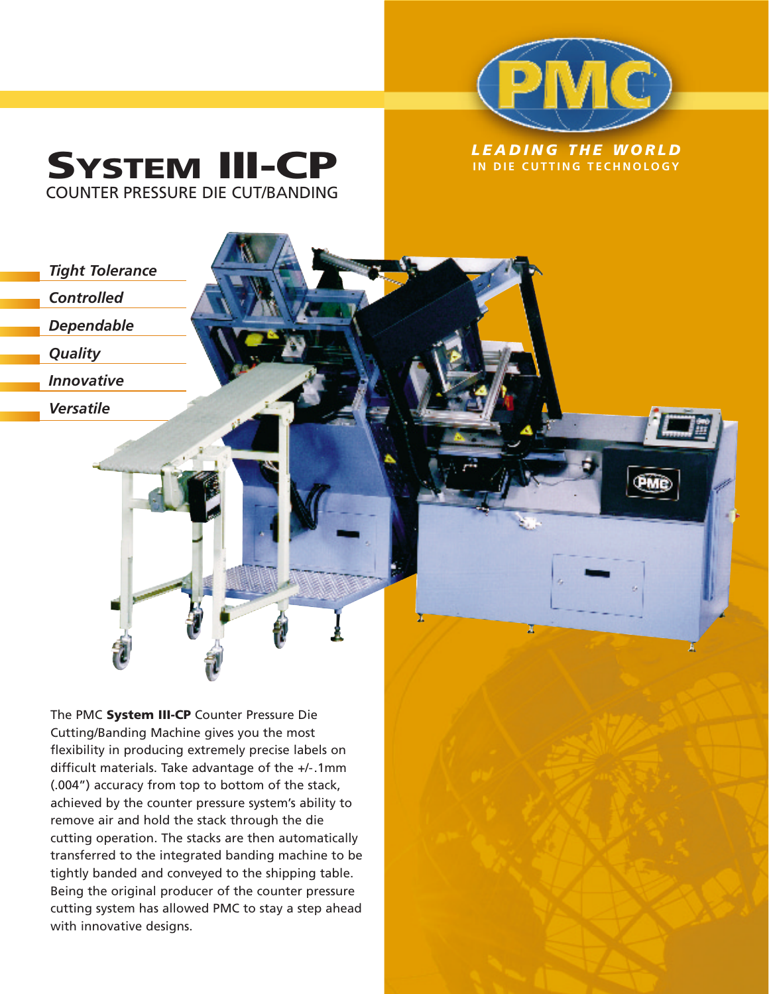

I

## *LEADING THE WORLD* **SYSTEM IN DIE CUTTING TECHNOLOGY III-CP** COUNTER PRESSURE DIE CUT/BANDING



*Controlled*

*Dependable*

*Quality*

*Innovative*

*Versatile*

The PMC **System III-CP** Counter Pressure Die Cutting/Banding Machine gives you the most flexibility in producing extremely precise labels on difficult materials. Take advantage of the +/-.1mm (.004") accuracy from top to bottom of the stack, achieved by the counter pressure system's ability to remove air and hold the stack through the die cutting operation. The stacks are then automatically transferred to the integrated banding machine to be tightly banded and conveyed to the shipping table. Being the original producer of the counter pressure cutting system has allowed PMC to stay a step ahead with innovative designs.